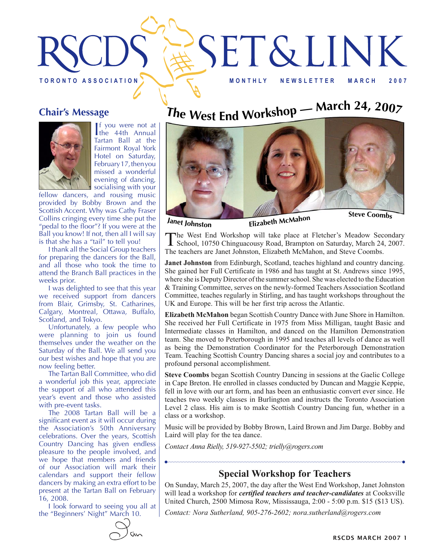

#### **Chair's Message**



If you were not at<br>the 44th Annual f you were not at Tartan Ball at the Fairmont Royal York Hotel on Saturday, February 17, then you missed a wonderful evening of dancing, socialising with your

fellow dancers, and rousing music provided by Bobby Brown and the Scottish Accent. Why was Cathy Fraser Collins cringing every time she put the "pedal to the floor"? If you were at the Ball you know! If not, then all I will say is that she has a "tail" to tell you!

I thank all the Social Group teachers for preparing the dancers for the Ball, and all those who took the time to attend the Branch Ball practices in the weeks prior.

I was delighted to see that this year we received support from dancers from Blair, Grimsby, St. Catharines, Calgary, Montreal, Ottawa, Buffalo, Scotland, and Tokyo.

Unfortunately, a few people who were planning to join us found themselves under the weather on the Saturday of the Ball. We all send you our best wishes and hope that you are now feeling better.

The Tartan Ball Committee, who did a wonderful job this year, appreciate the support of all who attended this year's event and those who assisted with pre-event tasks.

The 2008 Tartan Ball will be a significant event as it will occur during the Association's 50th Anniversary celebrations. Over the years, Scottish Country Dancing has given endless pleasure to the people involved, and we hope that members and friends of our Association will mark their calendars and support their fellow dancers by making an extra effort to be present at the Tartan Ball on February 16, 2008.

I look forward to seeing you all at the "Beginners' Night" March 10.

# The West End Workshop — March 24, 2007



The West End Workshop will take place at Fletcher's Meadow Secondary School, 10750 Chinguacousy Road, Brampton on Saturday, March 24, 2007. The teachers are Janet Johnston, Elizabeth McMahon, and Steve Coombs.

**Janet Johnston** from Edinburgh, Scotland, teaches highland and country dancing. She gained her Full Certificate in 1986 and has taught at St. Andrews since 1995, where she is Deputy Director of the summer school. She was elected to the Education & Training Committee, serves on the newly-formed Teachers Association Scotland Committee, teaches regularly in Stirling, and has taught workshops throughout the UK and Europe. This will be her first trip across the Atlantic.

**Elizabeth McMahon** began Scottish Country Dance with June Shore in Hamilton. She received her Full Certificate in 1975 from Miss Milligan, taught Basic and Intermediate classes in Hamilton, and danced on the Hamilton Demonstration team. She moved to Peterborough in 1995 and teaches all levels of dance as well as being the Demonstration Coordinator for the Peterborough Demonstration Team. Teaching Scottish Country Dancing shares a social joy and contributes to a profound personal accomplishment.

**Steve Coombs** began Scottish Country Dancing in sessions at the Gaelic College in Cape Breton. He enrolled in classes conducted by Duncan and Maggie Keppie, fell in love with our art form, and has been an enthusiastic convert ever since. He teaches two weekly classes in Burlington and instructs the Toronto Association Level 2 class. His aim is to make Scottish Country Dancing fun, whether in a class or a workshop.

Music will be provided by Bobby Brown, Laird Brown and Jim Darge. Bobby and Laird will play for the tea dance.

*Contact Anna Rielly, 519-927-5502; trielly@rogers.com*

### **Special Workshop for Teachers**

On Sunday, March 25, 2007, the day after the West End Workshop, Janet Johnston will lead a workshop for *certified teachers and teacher-candidates* at Cooksville United Church, 2500 Mimosa Row, Mississauga, 2:00 - 5:00 p.m. \$15 (\$13 US).

*Contact: Nora Sutherland, 905-276-2602; nora.sutherland@rogers.com*

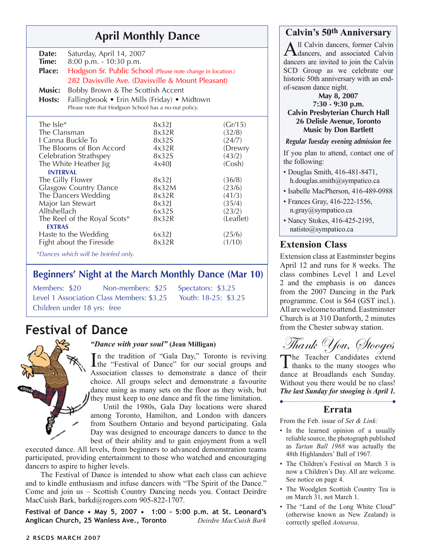## **April Monthly Dance Calvin's 50<sup>th</sup> Anniversary**<br> **A** Il Calvin dancers, former Calvin

| Date:<br>Time:<br>Place:<br>Music:<br>Hosts:  | Saturday, April 14, 2007<br>8:00 p.m. - 10:30 p.m.<br>Hodgson Sr. Public School (Please note change in location.)<br>282 Davisville Ave. (Davisville & Mount Pleasant)<br>Bobby Brown & The Scottish Accent<br>Fallingbrook • Erin Mills (Friday) • Midtown<br>Please note that Hodgson School has a no-nut policy. |                |                   |  |
|-----------------------------------------------|---------------------------------------------------------------------------------------------------------------------------------------------------------------------------------------------------------------------------------------------------------------------------------------------------------------------|----------------|-------------------|--|
| The $Isle*$<br>The Clansman                   |                                                                                                                                                                                                                                                                                                                     | 8x32           | (Gr/15)           |  |
|                                               |                                                                                                                                                                                                                                                                                                                     | 8x32R          | (32/8)            |  |
| I Canna Buckle To                             |                                                                                                                                                                                                                                                                                                                     | 8x32S          | (24/7)            |  |
| The Blooms of Bon Accord                      |                                                                                                                                                                                                                                                                                                                     | 4x32R<br>8x32S | (Drewry<br>(43/2) |  |
| Celebration Strathspey                        |                                                                                                                                                                                                                                                                                                                     |                |                   |  |
| The White Heather Jig<br>(Cosh)<br>4x40       |                                                                                                                                                                                                                                                                                                                     |                |                   |  |
| <b>INTERVAL</b>                               |                                                                                                                                                                                                                                                                                                                     |                |                   |  |
| The Gilly Flower                              |                                                                                                                                                                                                                                                                                                                     | 8x32           | (36/8)            |  |
| Glasgow Country Dance                         |                                                                                                                                                                                                                                                                                                                     | 8x32M          | (23/6)            |  |
| The Dancers Wedding                           |                                                                                                                                                                                                                                                                                                                     | 8x32R          | (41/3)            |  |
| Major lan Stewart                             |                                                                                                                                                                                                                                                                                                                     | 8x32           | (35/4)            |  |
| Alltshellach                                  |                                                                                                                                                                                                                                                                                                                     | 6x32S          | (23/2)            |  |
| The Reel of the Royal Scots*<br><b>EXTRAS</b> |                                                                                                                                                                                                                                                                                                                     | 8x32R          | (Leaflet)         |  |
| Haste to the Wedding                          |                                                                                                                                                                                                                                                                                                                     | 6x32           | (25/6)            |  |
| Fight about the Fireside                      |                                                                                                                                                                                                                                                                                                                     | 8x32R          | (1/10)            |  |
| *Dances which will be briefed only.           |                                                                                                                                                                                                                                                                                                                     |                |                   |  |

#### **Beginners' Night at the March Monthly Dance (Mar 10)**

| Members: \$20               | Non-members: \$25 Spectators: \$3.25                           |  |
|-----------------------------|----------------------------------------------------------------|--|
|                             | Level 1 Association Class Members: \$3.25 Youth: 18-25: \$3.25 |  |
| Children under 18 yrs: free |                                                                |  |

### **Festival of Dance**



#### *"Dance with your soul"* **(Jean Milligan)**

In the tradition of "Gala Day," Toronto is reviving<br>the "Festival of Dance" for our social groups and the "Festival of Dance" for our social groups and Association classes to demonstrate a dance of their choice. All groups select and demonstrate a favourite dance using as many sets on the floor as they wish, but they must keep to one dance and fit the time limitation.

Until the 1980s, Gala Day locations were shared among Toronto, Hamilton, and London with dancers from Southern Ontario and beyond participating. Gala Day was designed to encourage dancers to dance to the best of their ability and to gain enjoyment from a well

executed dance. All levels, from beginners to advanced demonstration teams participated, providing entertainment to those who watched and encouraging dancers to aspire to higher levels.

 The Festival of Dance is intended to show what each class can achieve and to kindle enthusiasm and infuse dancers with "The Spirit of the Dance." Come and join us – Scottish Country Dancing needs you. Contact Deirdre MacCuish Bark, barkd@rogers.com 905-822-1707.

**Festival of Dance • May 5, 2007 • 1:00 - 5:00 p.m. at St. Leonard's Anglican Church, 25 Wanless Ave., Toronto** *Deirdre MacCuish Bark* 

All Calvin dancers, former Calvin<br>dancers, and associated Calvin dancers are invited to join the Calvin SCD Group as we celebrate our historic 50th anniversary with an endof-season dance night.

**May 8, 2007 7:30 - 9:30 p.m. Calvin Presbyterian Church Hall 26 Delisle Avenue, Toronto Music by Don Bartlett**

#### *Regular Tuesday evening admission fee*

If you plan to attend, contact one of the following:

- Douglas Smith, 416-481-8471, h.douglas.smith@sympatico.ca
- Isabelle MacPherson, 416-489-0988
- Frances Gray, 416-222-1556, n.gray@sympatico.ca
- Nancy Stokes, 416-425-2195, natisto@sympatico.ca

### **Extension Class**

Extension class at Eastminster begins April 12 and runs for 8 weeks. The class combines Level 1 and Level 2 and the emphasis is on dances from the 2007 Dancing in the Park programme. Cost is \$64 (GST incl.). All are welcome to attend. Eastminster Church is at 310 Danforth, 2 minutes from the Chester subway station.

Thank You, Stooges

The Teacher Candidates extend **L** thanks to the many stooges who dance at Broadlands each Sunday. Without you there would be no class! *The last Sunday for stooging is April 1.*

### **Errata**

From the Feb. issue of *Set & Link:*

- In the learned opinion of a usually reliable source, the photograph published as *Tartan Ball 1968* was actually the 48th Highlanders' Ball of 1967.
- The Children's Festival on March 3 is now a Children's Day. All are welcome. See notice on page 4.
- The Woodglen Scottish Country Tea is on March 31, not March 1.
- The "Land of the Long White Cloud" (otherwise known as New Zealand) is correctly spelled *Aotearoa*.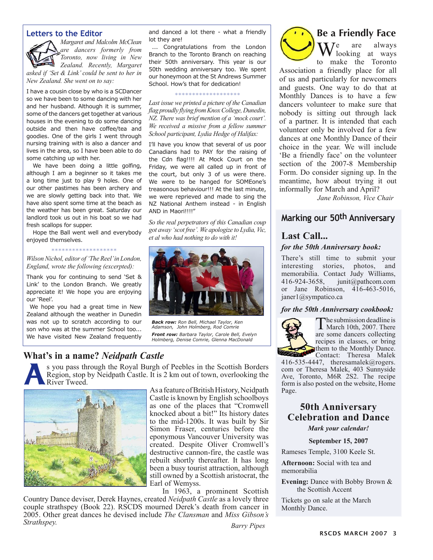#### **Letters to the Editor**



*Margaret and Malcolm McClean are dancers formerly from Toronto, now living in New Zealand. Recently, Margaret asked if 'Set & Link' could be sent to her in New Zealand. She went on to say:*

I have a cousin close by who is a SCDancer so we have been to some dancing with her and her husband. Although it is summer, some of the dancers get together at various houses in the evening to do some dancing outside and then have coffee/tea and goodies. One of the girls I went through nursing training with is also a dancer and lives in the area, so I have been able to do some catching up with her.

We have been doing a little golfing, although I am a beginner so it takes me a long time just to play 9 holes. One of our other pastimes has been archery and we are slowly getting back into that. We have also spent some time at the beach as the weather has been great. Saturday our landlord took us out in his boat so we had fresh scallops for supper.

Hope the Ball went well and everybody enjoyed themselves.

#### \*\*\*\*\*\*\*\*\*\*\*\*\*\*\*\*\*\*\*

*Wilson Nichol, editor of 'The Reel' in London, England, wrote the following (excerpted):*

Thank you for continuing to send 'Set & Link' to the London Branch. We greatly appreciate it! We hope you are enjoying our 'Reel'.

We hope you had a great time in New Zealand although the weather in Dunedin was not up to scratch according to our son who was at the summer School too... We have visited New Zealand frequently

and danced a lot there - what a friendly lot they are!

... Congratulations from the London Branch to the Toronto Branch on reaching their 50th anniversary. This year is our 50th wedding anniversary too. We spent our honeymoon at the St Andrews Summer School. How's that for dedication!

#### \*\*\*\*\*\*\*\*\*\*\*\*\*\*\*\*\*\*\*

*Last issue we printed a picture of the Canadian flag proudly flying from Knox College, Dunedin, NZ. There was brief mention of a 'mock court'. We received a missive from a fellow summer School participant, Lydia Hedge of Halifax:*

I'll have you know that several of us poor Canadians had to PAY for the raising of the Cdn flag!!!! At Mock Court on the Friday, we were all called up in front of the court, but only 3 of us were there. We were to be hanged for SOMEone's treasonous behaviour!!! At the last minute, we were reprieved and made to sing the NZ National Anthem instead - in English AND in Maori!!!!"

*So the real perpetrators of this Canadian coup got away 'scot free'. We apologize to Lydia, Vic, et al who had nothing to do with it!*



*Back row: Ron Bell, Michael Taylor, Ken Adamson, John Holmberg, Rod Comrie Front row: Barbara Taylor, Carole Bell, Evelyn Holmberg, Denise Comrie, Glenna MacDonald*

#### **What's in a name?** *Neidpath Castle*

S you pass through the Royal Burgh of Peebles in the Scottish Borders<br>Region, stop by Neidpath Castle. It is 2 km out of town, overlooking the<br>River Tweed. Region, stop by Neidpath Castle. It is 2 km out of town, overlooking the River Tweed.



As a feature of British History, Neidpath Castle is known by English schoolboys as one of the places that "Cromwell knocked about a bit!" Its history dates to the mid-1200s. It was built by Sir Simon Fraser, centuries before the eponymous Vancouver University was created. Despite Oliver Cromwell's destructive cannon-fire, the castle was rebuilt shortly thereafter. It has long been a busy tourist attraction, although still owned by a Scottish aristocrat, the Earl of Wemyss.

In 1963, a prominent Scottish

Country Dance deviser, Derek Haynes, created *Neidpath Castle* as a lovely three couple strathspey (Book 22). RSCDS mourned Derek's death from cancer in 2005. Other great dances he devised include *The Clansman* and *Miss Gibson's Strathspey. Barry Pipes*



### **Be a Friendly Face**

We are always to make the Toronto

Association a friendly place for all of us and particularly for newcomers and guests. One way to do that at Monthly Dances is to have a few dancers volunteer to make sure that nobody is sitting out through lack of a partner. It is intended that each volunteer only be involved for a few dances at one Monthly Dance of their choice in the year. We will include 'Be a friendly face' on the volunteer section of the 2007-8 Membership Form. Do consider signing up. In the meantime, how about trying it out informally for March and April?

*Jane Robinson, Vice Chair*

#### **Marking our 50th Anniversary**

#### **Last Call...**

#### *for the 50th Anniversary book:*

There's still time to submit your interesting stories, photos, and memorabilia. Contact Judy Williams, 416-924-3658, junit@pathcom.com or Jane Robinson, 416-463-5016, janer1@sympatico.ca

#### *for the 50th Anniversary cookbook:*



The submission deadline is March 10th, 2007. There are some dancers collecting recipes in classes, or bring them to the Monthly Dance. Contact: Theresa Malek

416-535-4447, theresamalek@rogers. com or Theresa Malek, 403 Sunnyside Ave, Toronto, M6R 2S2. The recipe form is also posted on the website, Home Page.

#### **50th Anniversary Celebration and Dance**

*Mark your calendar!*

**September 15, 2007**

Rameses Temple, 3100 Keele St.

**Afternoon:** Social with tea and memorabilia

**Evening:** Dance with Bobby Brown & the Scottish Accent

Tickets go on sale at the March Monthly Dance.